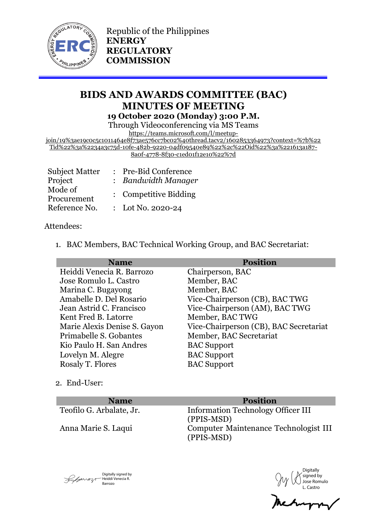

Republic of the Philippines **ENERGY REGULATORY COMMISSION**

# **BIDS AND AWARDS COMMITTEE (BAC) MINUTES OF MEETING 19 October 2020 (Monday) 3:00 P.M.**

Through Videoconferencing via MS Teams

https://teams.microsoft.com/l/meetup-

join/19%3ae19c0c5c1011464e8f73ae576cc7bc02%40thread.tacv2/1602853364973?context=%7b%22 Tid%22%3a%2234a3c75d-10fe-482b-9220-04df09540e89%22%2c%22Oid%22%3a%221613a187- 8a0f-4778-8f30-c1ed01f12e10%22%7d

| <b>Subject Matter</b>  | : Pre-Bid Conference  |
|------------------------|-----------------------|
| Project                | : Bandwidth Manager   |
| Mode of<br>Procurement | : Competitive Bidding |
| Reference No.          | : Lot No. 2020-24     |

## Attendees:

1. BAC Members, BAC Technical Working Group, and BAC Secretariat:

| <b>Name</b>                  | <b>Position</b>                        |
|------------------------------|----------------------------------------|
| Heiddi Venecia R. Barrozo    | Chairperson, BAC                       |
| Jose Romulo L. Castro        | Member, BAC                            |
| Marina C. Bugayong           | Member, BAC                            |
| Amabelle D. Del Rosario      | Vice-Chairperson (CB), BAC TWG         |
| Jean Astrid C. Francisco     | Vice-Chairperson (AM), BAC TWG         |
| Kent Fred B. Latorre         | Member, BAC TWG                        |
| Marie Alexis Denise S. Gayon | Vice-Chairperson (CB), BAC Secretariat |
| Primabelle S. Gobantes       | Member, BAC Secretariat                |
| Kio Paulo H. San Andres      | <b>BAC</b> Support                     |
| Lovelyn M. Alegre            | <b>BAC</b> Support                     |
| Rosaly T. Flores             | <b>BAC</b> Support                     |
|                              |                                        |

2. End-User:

**Name Position** 

Teofilo G. Arbalate, Jr. Information Technology Officer III (PPIS-MSD) Anna Marie S. Laqui Computer Maintenance Technologist III (PPIS-MSD)

Digitally signed by  $\sqrt{\frac{1}{2} \frac{1}{2} \frac{1}{2} \frac{1}{2} \frac{1}{2} \frac{1}{2} \frac{1}{2} \frac{1}{2} \frac{1}{2} \frac{1}{2} \frac{1}{2} \frac{1}{2} \frac{1}{2} \frac{1}{2} \frac{1}{2} \frac{1}{2} \frac{1}{2} \frac{1}{2} \frac{1}{2} \frac{1}{2} \frac{1}{2} \frac{1}{2} \frac{1}{2} \frac{1}{2} \frac{1}{2} \frac{1}{2} \frac{1}{2} \frac{1}{2} \frac{1}{2} \frac{1}{2} \frac{1}{2} \$ Barrozo

Digitally signed by Jose Romulo L. Castro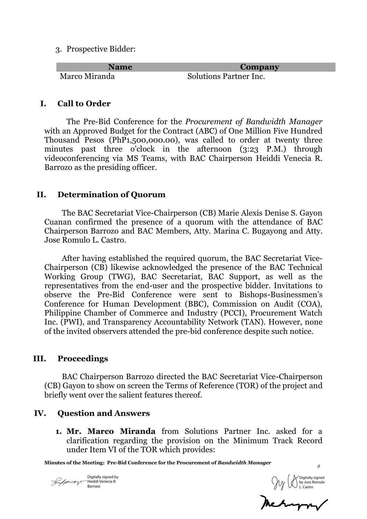3. Prospective Bidder:

| <b>Name</b>   | Company                       |
|---------------|-------------------------------|
| Marco Miranda | <b>Solutions Partner Inc.</b> |

## **I. Call to Order**

The Pre-Bid Conference for the *Procurement of Bandwidth Manager* with an Approved Budget for the Contract (ABC) of One Million Five Hundred Thousand Pesos (PhP1,500,000.00), was called to order at twenty three minutes past three o'clock in the afternoon (3:23 P.M.) through videoconferencing via MS Teams, with BAC Chairperson Heiddi Venecia R. Barrozo as the presiding officer.

## **II. Determination of Quorum**

The BAC Secretariat Vice-Chairperson (CB) Marie Alexis Denise S. Gayon Cuanan confirmed the presence of a quorum with the attendance of BAC Chairperson Barrozo and BAC Members, Atty. Marina C. Bugayong and Atty. Jose Romulo L. Castro.

After having established the required quorum, the BAC Secretariat Vice-Chairperson (CB) likewise acknowledged the presence of the BAC Technical Working Group (TWG), BAC Secretariat, BAC Support, as well as the representatives from the end-user and the prospective bidder. Invitations to observe the Pre-Bid Conference were sent to Bishops-Businessmen's Conference for Human Development (BBC), Commission on Audit (COA), Philippine Chamber of Commerce and Industry (PCCI), Procurement Watch Inc. (PWI), and Transparency Accountability Network (TAN). However, none of the invited observers attended the pre-bid conference despite such notice.

## **III. Proceedings**

BAC Chairperson Barrozo directed the BAC Secretariat Vice-Chairperson (CB) Gayon to show on screen the Terms of Reference (TOR) of the project and briefly went over the salient features thereof.

# **IV. Question and Answers**

**1. Mr. Marco Miranda** from Solutions Partner Inc. asked for a clarification regarding the provision on the Minimum Track Record under Item VI of the TOR which provides:

**Minutes of the Meeting: Pre-Bid Conference for the Procurement of** *Bandwidth Manager*

Digitally signed by Heiddi Venecia R. Barrozo

Digitally signed by Jose Romulo L. Castro

*2*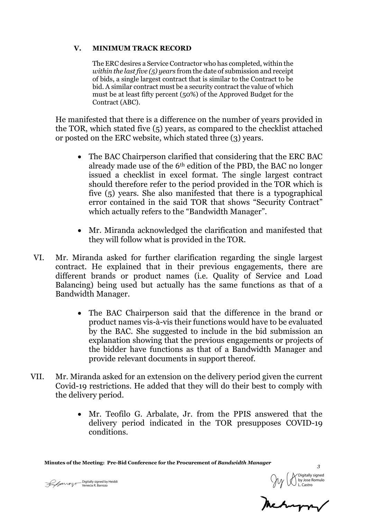#### **V. MINIMUM TRACK RECORD**

The ERC desires a Service Contractor who has completed, within the *within the last five (5) years* from the date of submission and receipt of bids, a single largest contract that is similar to the Contract to be bid. A similar contract must be a security contract the value of which must be at least fifty percent (50%) of the Approved Budget for the Contract (ABC).

He manifested that there is a difference on the number of years provided in the TOR, which stated five (5) years, as compared to the checklist attached or posted on the ERC website, which stated three (3) years.

- The BAC Chairperson clarified that considering that the ERC BAC already made use of the 6th edition of the PBD, the BAC no longer issued a checklist in excel format. The single largest contract should therefore refer to the period provided in the TOR which is five (5) years. She also manifested that there is a typographical error contained in the said TOR that shows "Security Contract" which actually refers to the "Bandwidth Manager".
- Mr. Miranda acknowledged the clarification and manifested that they will follow what is provided in the TOR.
- VI. Mr. Miranda asked for further clarification regarding the single largest contract. He explained that in their previous engagements, there are different brands or product names (i.e. Quality of Service and Load Balancing) being used but actually has the same functions as that of a Bandwidth Manager.
	- The BAC Chairperson said that the difference in the brand or product names vis-à-vis their functions would have to be evaluated by the BAC. She suggested to include in the bid submission an explanation showing that the previous engagements or projects of the bidder have functions as that of a Bandwidth Manager and provide relevant documents in support thereof.
- VII. Mr. Miranda asked for an extension on the delivery period given the current Covid-19 restrictions. He added that they will do their best to comply with the delivery period.
	- Mr. Teofilo G. Arbalate, Jr. from the PPIS answered that the delivery period indicated in the TOR presupposes COVID-19 conditions.

**Minutes of the Meeting: Pre-Bid Conference for the Procurement of** *Bandwidth Manager*

Digitally signed by Heiddi Venecia R. Barrozo



*3*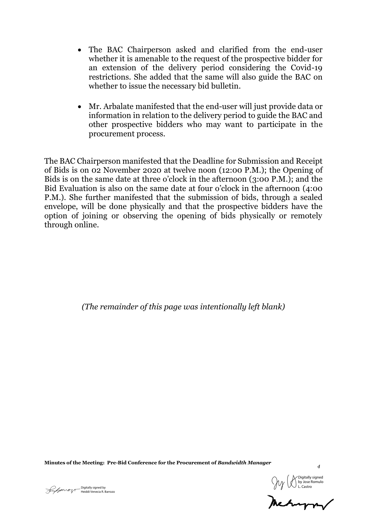- The BAC Chairperson asked and clarified from the end-user whether it is amenable to the request of the prospective bidder for an extension of the delivery period considering the Covid-19 restrictions. She added that the same will also guide the BAC on whether to issue the necessary bid bulletin.
- Mr. Arbalate manifested that the end-user will just provide data or information in relation to the delivery period to guide the BAC and other prospective bidders who may want to participate in the procurement process.

The BAC Chairperson manifested that the Deadline for Submission and Receipt of Bids is on 02 November 2020 at twelve noon (12:00 P.M.); the Opening of Bids is on the same date at three o'clock in the afternoon (3:00 P.M.); and the Bid Evaluation is also on the same date at four o'clock in the afternoon (4:00 P.M.). She further manifested that the submission of bids, through a sealed envelope, will be done physically and that the prospective bidders have the option of joining or observing the opening of bids physically or remotely through online.

*(The remainder of this page was intentionally left blank)*

**Minutes of the Meeting: Pre-Bid Conference for the Procurement of** *Bandwidth Manager*

Digitally signed by **Support Contained Structure Contained Structure** Contained By Support Of Digitally signed by L. Castro<br>Digitally signed by L. Castro

*4*